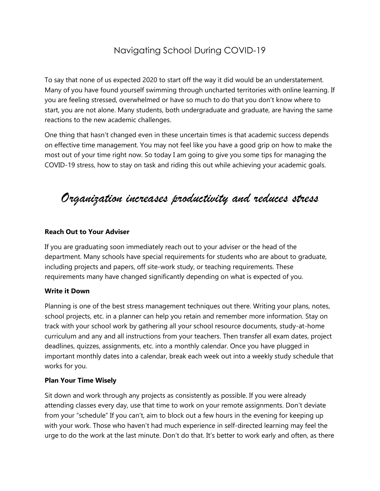# Navigating School During COVID-19

To say that none of us expected 2020 to start off the way it did would be an understatement. Many of you have found yourself swimming through uncharted territories with online learning. If you are feeling stressed, overwhelmed or have so much to do that you don't know where to start, you are not alone. Many students, both undergraduate and graduate, are having the same reactions to the new academic challenges.

One thing that hasn't changed even in these uncertain times is that academic success depends on effective time management. You may not feel like you have a good grip on how to make the most out of your time right now. So today I am going to give you some tips for managing the COVID-19 stress, how to stay on task and riding this out while achieving your academic goals.

# *Organization increases productivity and reduces stress*

### **Reach Out to Your Adviser**

If you are graduating soon immediately reach out to your adviser or the head of the department. Many schools have special requirements for students who are about to graduate, including projects and papers, off site-work study, or teaching requirements. These requirements many have changed significantly depending on what is expected of you.

#### **Write it Down**

Planning is one of the best stress management techniques out there. Writing your plans, notes, school projects, etc. in a planner can help you retain and remember more information. Stay on track with your school work by gathering all your school resource documents, study-at-home curriculum and any and all instructions from your teachers. Then transfer all exam dates, project deadlines, quizzes, assignments, etc. into a monthly calendar. Once you have plugged in important monthly dates into a calendar, break each week out into a weekly study schedule that works for you.

#### **Plan Your Time Wisely**

Sit down and work through any projects as consistently as possible. If you were already attending classes every day, use that time to work on your remote assignments. Don't deviate from your "schedule" If you can't, aim to block out a few hours in the evening for keeping up with your work. Those who haven't had much experience in self-directed learning may feel the urge to do the work at the last minute. Don't do that. It's better to work early and often, as there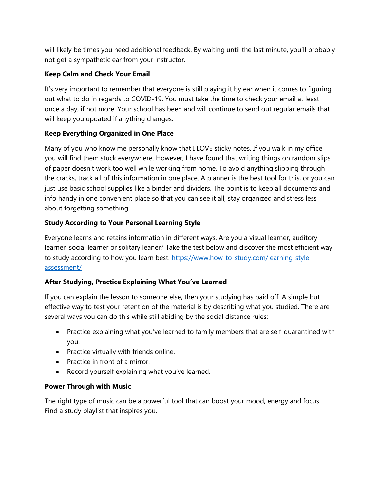will likely be times you need additional feedback. By waiting until the last minute, you'll probably not get a sympathetic ear from your instructor.

# **Keep Calm and Check Your Email**

It's very important to remember that everyone is still playing it by ear when it comes to figuring out what to do in regards to COVID-19. You must take the time to check your email at least once a day, if not more. Your school has been and will continue to send out regular emails that will keep you updated if anything changes.

# **Keep Everything Organized in One Place**

Many of you who know me personally know that I LOVE sticky notes. If you walk in my office you will find them stuck everywhere. However, I have found that writing things on random slips of paper doesn't work too well while working from home. To avoid anything slipping through the cracks, track all of this information in one place. A planner is the best tool for this, or you can just use basic school supplies like a binder and dividers. The point is to keep all documents and info handy in one convenient place so that you can see it all, stay organized and stress less about forgetting something.

# **Study According to Your Personal Learning Style**

Everyone learns and retains information in different ways. Are you a visual learner, auditory learner, social learner or solitary leaner? Take the test below and discover the most efficient way to study according to how you learn best. [https://www.how-to-study.com/learning-style](https://www.how-to-study.com/learning-style-assessment/)[assessment/](https://www.how-to-study.com/learning-style-assessment/)

# **After Studying, Practice Explaining What You've Learned**

If you can explain the lesson to someone else, then your studying has paid off. A simple but effective way to test your retention of the material is by describing what you studied. There are several ways you can do this while still abiding by the social distance rules:

- Practice explaining what you've learned to family members that are self-quarantined with you.
- Practice virtually with friends online.
- Practice in front of a mirror.
- Record yourself explaining what you've learned.

## **Power Through with Music**

The right type of music can be a powerful tool that can boost your mood, energy and focus. Find a study playlist that inspires you.